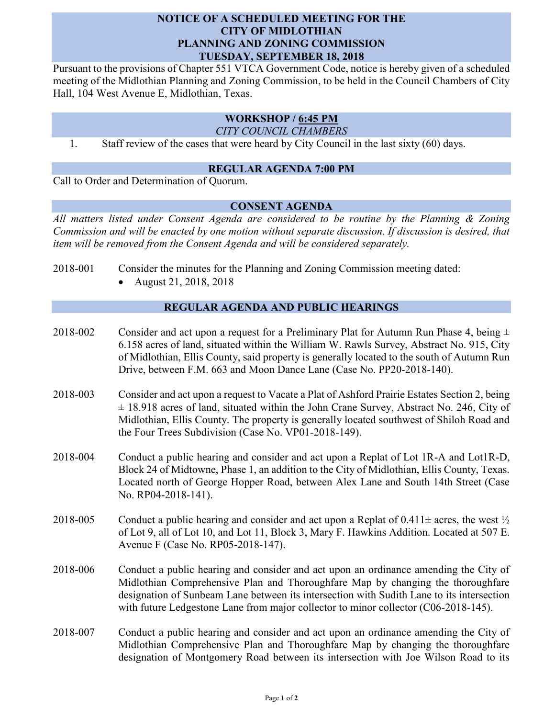## **NOTICE OF A SCHEDULED MEETING FOR THE CITY OF MIDLOTHIAN PLANNING AND ZONING COMMISSION TUESDAY, SEPTEMBER 18, 2018**

Pursuant to the provisions of Chapter 551 VTCA Government Code, notice is hereby given of a scheduled meeting of the Midlothian Planning and Zoning Commission, to be held in the Council Chambers of City Hall, 104 West Avenue E, Midlothian, Texas.

# **WORKSHOP / 6:45 PM**

*CITY COUNCIL CHAMBERS*

1. Staff review of the cases that were heard by City Council in the last sixty (60) days.

#### **REGULAR AGENDA 7:00 PM**

Call to Order and Determination of Quorum.

#### **CONSENT AGENDA**

*All matters listed under Consent Agenda are considered to be routine by the Planning & Zoning Commission and will be enacted by one motion without separate discussion. If discussion is desired, that item will be removed from the Consent Agenda and will be considered separately.*

- 2018-001 Consider the minutes for the Planning and Zoning Commission meeting dated:
	- August 21, 2018, 2018

## **REGULAR AGENDA AND PUBLIC HEARINGS**

- 2018-002 Consider and act upon a request for a Preliminary Plat for Autumn Run Phase 4, being  $\pm$ 6.158 acres of land, situated within the William W. Rawls Survey, Abstract No. 915, City of Midlothian, Ellis County, said property is generally located to the south of Autumn Run Drive, between F.M. 663 and Moon Dance Lane (Case No. PP20-2018-140).
- 2018-003 Consider and act upon a request to Vacate a Plat of Ashford Prairie Estates Section 2, being ± 18.918 acres of land, situated within the John Crane Survey, Abstract No. 246, City of Midlothian, Ellis County. The property is generally located southwest of Shiloh Road and the Four Trees Subdivision (Case No. VP01-2018-149).
- 2018-004 Conduct a public hearing and consider and act upon a Replat of Lot 1R-A and Lot1R-D, Block 24 of Midtowne, Phase 1, an addition to the City of Midlothian, Ellis County, Texas. Located north of George Hopper Road, between Alex Lane and South 14th Street (Case No. RP04-2018-141).
- 2018-005 Conduct a public hearing and consider and act upon a Replat of  $0.411 \pm \text{ acres}$ , the west  $\frac{1}{2}$ of Lot 9, all of Lot 10, and Lot 11, Block 3, Mary F. Hawkins Addition. Located at 507 E. Avenue F (Case No. RP05-2018-147).
- 2018-006 Conduct a public hearing and consider and act upon an ordinance amending the City of Midlothian Comprehensive Plan and Thoroughfare Map by changing the thoroughfare designation of Sunbeam Lane between its intersection with Sudith Lane to its intersection with future Ledgestone Lane from major collector to minor collector (C06-2018-145).
- 2018-007 Conduct a public hearing and consider and act upon an ordinance amending the City of Midlothian Comprehensive Plan and Thoroughfare Map by changing the thoroughfare designation of Montgomery Road between its intersection with Joe Wilson Road to its